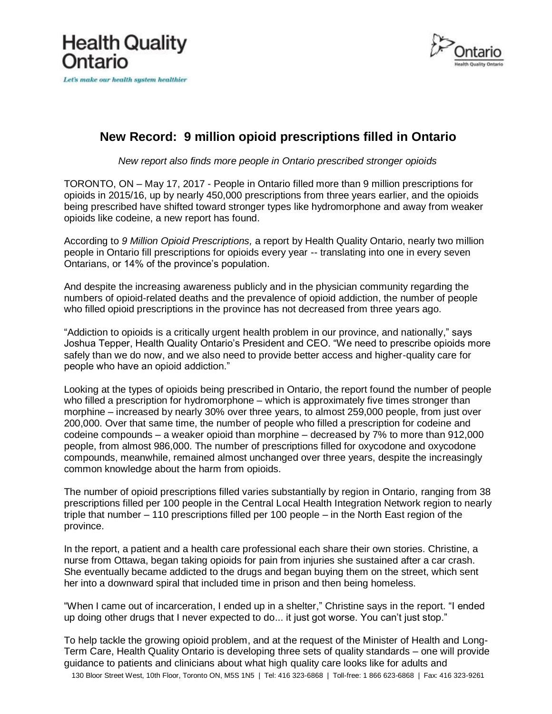



## **New Record: 9 million opioid prescriptions filled in Ontario**

*New report also finds more people in Ontario prescribed stronger opioids*

TORONTO, ON – May 17, 2017 - People in Ontario filled more than 9 million prescriptions for opioids in 2015/16, up by nearly 450,000 prescriptions from three years earlier, and the opioids being prescribed have shifted toward stronger types like hydromorphone and away from weaker opioids like codeine, a new report has found.

According to *9 Million Opioid Prescriptions,* a report by Health Quality Ontario, nearly two million people in Ontario fill prescriptions for opioids every year -- translating into one in every seven Ontarians, or 14% of the province's population.

And despite the increasing awareness publicly and in the physician community regarding the numbers of opioid-related deaths and the prevalence of opioid addiction, the number of people who filled opioid prescriptions in the province has not decreased from three years ago.

"Addiction to opioids is a critically urgent health problem in our province, and nationally," says Joshua Tepper, Health Quality Ontario's President and CEO. "We need to prescribe opioids more safely than we do now, and we also need to provide better access and higher-quality care for people who have an opioid addiction."

Looking at the types of opioids being prescribed in Ontario, the report found the number of people who filled a prescription for hydromorphone – which is approximately five times stronger than morphine – increased by nearly 30% over three years, to almost 259,000 people, from just over 200,000. Over that same time, the number of people who filled a prescription for codeine and codeine compounds – a weaker opioid than morphine – decreased by 7% to more than 912,000 people, from almost 986,000. The number of prescriptions filled for oxycodone and oxycodone compounds, meanwhile, remained almost unchanged over three years, despite the increasingly common knowledge about the harm from opioids.

The number of opioid prescriptions filled varies substantially by region in Ontario, ranging from 38 prescriptions filled per 100 people in the Central Local Health Integration Network region to nearly triple that number – 110 prescriptions filled per 100 people – in the North East region of the province.

In the report, a patient and a health care professional each share their own stories. Christine, a nurse from Ottawa, began taking opioids for pain from injuries she sustained after a car crash. She eventually became addicted to the drugs and began buying them on the street, which sent her into a downward spiral that included time in prison and then being homeless.

"When I came out of incarceration, I ended up in a shelter," Christine says in the report. "I ended up doing other drugs that I never expected to do... it just got worse. You can't just stop."

To help tackle the growing opioid problem, and at the request of the Minister of Health and Long-Term Care, Health Quality Ontario is developing three sets of quality standards – one will provide guidance to patients and clinicians about what high quality care looks like for adults and